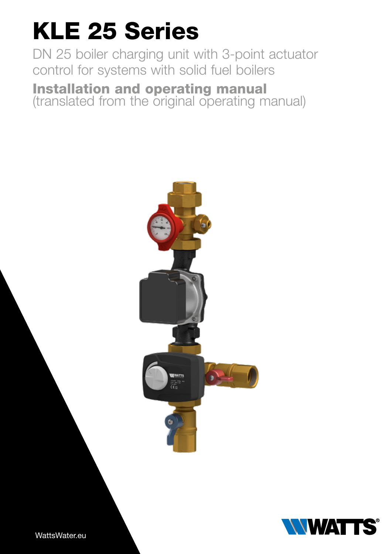# KLE 25 Series

DN 25 boiler charging unit with 3-point actuator control for systems with solid fuel boilers

Installation and operating manual (translated from the original operating manual)





WattsWater.eu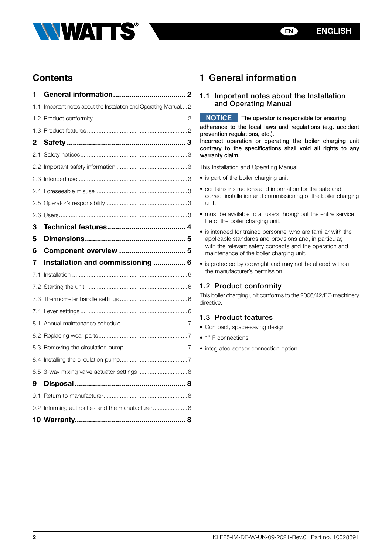



# **Contents**

| 1   |                                                              |  |
|-----|--------------------------------------------------------------|--|
| 1.1 | Important notes about the Installation and Operating Manual2 |  |
|     |                                                              |  |
|     |                                                              |  |
| 2   |                                                              |  |
|     |                                                              |  |
|     |                                                              |  |
|     |                                                              |  |
|     |                                                              |  |
|     |                                                              |  |
|     |                                                              |  |
| 3   |                                                              |  |
| 5   |                                                              |  |
| 6   | Component overview  5                                        |  |
|     |                                                              |  |
| 7   | Installation and commissioning  6                            |  |
| 7.1 |                                                              |  |
|     |                                                              |  |
|     |                                                              |  |
|     |                                                              |  |
|     |                                                              |  |
|     |                                                              |  |
|     |                                                              |  |
|     |                                                              |  |
|     | 8.5 3-way mixing valve actuator settings  8                  |  |
| 9   |                                                              |  |
|     |                                                              |  |
|     | 9.2 Informing authorities and the manufacturer 8             |  |

# 1 General information

# 1.1 Important notes about the Installation and Operating Manual

**NOTICE** The operator is responsible for ensuring

adherence to the local laws and regulations (e.g. accident prevention regulations, etc.).

Incorrect operation or operating the boiler charging unit contrary to the specifications shall void all rights to any warranty claim.

This Installation and Operating Manual

- is part of the boiler charging unit
- contains instructions and information for the safe and correct installation and commissioning of the boiler charging unit.
- must be available to all users throughout the entire service life of the boiler charging unit.
- is intended for trained personnel who are familiar with the applicable standards and provisions and, in particular, with the relevant safety concepts and the operation and maintenance of the boiler charging unit.
- is protected by copyright and may not be altered without the manufacturer's permission

# 1.2 Product conformity

This boiler charging unit conforms to the 2006/42/EC machinery directive.

# 1.3 Product features

- Compact, space-saving design
- 1" F connections
- integrated sensor connection option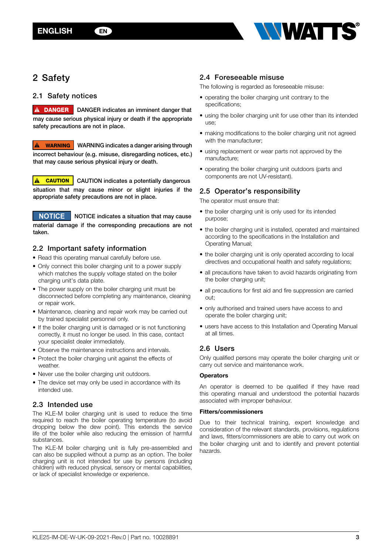

# <span id="page-2-1"></span><span id="page-2-0"></span>2 Safety

# 2.1 Safety notices

**A DANGER** DANGER indicates an imminent danger that may cause serious physical injury or death if the appropriate safety precautions are not in place.

**A** WARNING WARNING indicates a danger arising through incorrect behaviour (e.g. misuse, disregarding notices, etc.) that may cause serious physical injury or death.

**A CAUTION** CAUTION indicates a potentially dangerous situation that may cause minor or slight injuries if the appropriate safety precautions are not in place.

**NOTICE** NOTICE indicates a situation that may cause material damage if the corresponding precautions are not taken.

# 2.2 Important safety information

- Read this operating manual carefully before use.
- Only connect this boiler charging unit to a power supply which matches the supply voltage stated on the boiler charging unit's data plate.
- The power supply on the boiler charging unit must be disconnected before completing any maintenance, cleaning or repair work.
- Maintenance, cleaning and repair work may be carried out by trained specialist personnel only.
- If the boiler charging unit is damaged or is not functioning correctly, it must no longer be used. In this case, contact your specialist dealer immediately.
- Observe the maintenance instructions and intervals.
- Protect the boiler charging unit against the effects of weather.
- Never use the boiler charging unit outdoors.
- The device set may only be used in accordance with its intended use.

# 2.3 Intended use

The KLE-M boiler charging unit is used to reduce the time required to reach the boiler operating temperature (to avoid dropping below the dew point). This extends the service life of the boiler while also reducing the emission of harmful substances.

The KLE-M boiler charging unit is fully pre-assembled and can also be supplied without a pump as an option. The boiler charging unit is not intended for use by persons (including children) with reduced physical, sensory or mental capabilities, or lack of specialist knowledge or experience.

# 2.4 Foreseeable misuse

The following is regarded as foreseeable misuse:

- operating the boiler charging unit contrary to the specifications;
- using the boiler charging unit for use other than its intended use;
- making modifications to the boiler charging unit not agreed with the manufacturer;
- using replacement or wear parts not approved by the manufacture;
- operating the boiler charging unit outdoors (parts and components are not UV-resistant).

# 2.5 Operator's responsibility

The operator must ensure that:

- the boiler charging unit is only used for its intended purpose;
- the boiler charging unit is installed, operated and maintained according to the specifications in the Installation and Operating Manual;
- the boiler charging unit is only operated according to local directives and occupational health and safety regulations;
- all precautions have taken to avoid hazards originating from the boiler charging unit;
- all precautions for first aid and fire suppression are carried out;
- only authorised and trained users have access to and operate the boiler charging unit;
- users have access to this Installation and Operating Manual at all times.

# 2.6 Users

Only qualified persons may operate the boiler charging unit or carry out service and maintenance work.

## **Operators**

An operator is deemed to be qualified if they have read this operating manual and understood the potential hazards associated with improper behaviour.

## Fitters/commissioners

Due to their technical training, expert knowledge and consideration of the relevant standards, provisions, regulations and laws, fitters/commissioners are able to carry out work on the boiler charging unit and to identify and prevent potential hazards.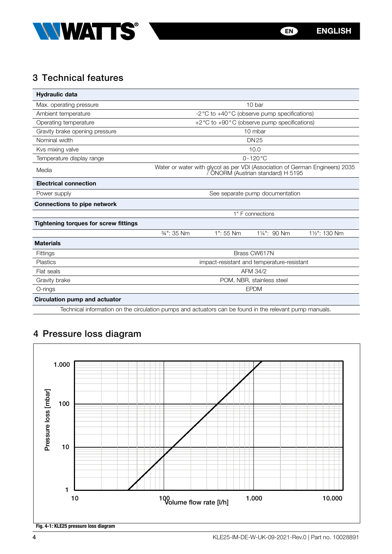<span id="page-3-0"></span>

# 3 Technical features

| <b>Hydraulic data</b>                        |                                                                                                                    |           |              |               |
|----------------------------------------------|--------------------------------------------------------------------------------------------------------------------|-----------|--------------|---------------|
| Max. operating pressure                      | 10 bar                                                                                                             |           |              |               |
| Ambient temperature                          | -2 °C to +40 °C (observe pump specifications)                                                                      |           |              |               |
| Operating temperature                        | +2 $\degree$ C to +90 $\degree$ C (observe pump specifications)                                                    |           |              |               |
| Gravity brake opening pressure               | 10 mbar                                                                                                            |           |              |               |
| Nominal width                                | <b>DN25</b>                                                                                                        |           |              |               |
| Kvs mixing valve                             | 10.0                                                                                                               |           |              |               |
| Temperature display range                    | $0 - 120$ °C                                                                                                       |           |              |               |
| Media                                        | Water or water with glycol as per VDI (Association of German Engineers) 2035<br>7 ÖNORM (Austrian standard) H 5195 |           |              |               |
| <b>Electrical connection</b>                 |                                                                                                                    |           |              |               |
| Power supply                                 | See separate pump documentation                                                                                    |           |              |               |
| <b>Connections to pipe network</b>           |                                                                                                                    |           |              |               |
|                                              | 1" F connections                                                                                                   |           |              |               |
| <b>Tightening torques for screw fittings</b> |                                                                                                                    |           |              |               |
|                                              | 34": 35 Nm                                                                                                         | 1": 55 Nm | 11/4": 90 Nm | 11/2": 130 Nm |
| <b>Materials</b>                             |                                                                                                                    |           |              |               |
| Fittings                                     | Brass CW617N                                                                                                       |           |              |               |
| <b>Plastics</b>                              | impact-resistant and temperature-resistant                                                                         |           |              |               |
| Flat seals                                   | AFM 34/2                                                                                                           |           |              |               |
| Gravity brake                                | POM, NBR, stainless steel                                                                                          |           |              |               |
| O-rings                                      | <b>EPDM</b>                                                                                                        |           |              |               |
| Circulation pump and actuator                |                                                                                                                    |           |              |               |

Technical information on the circulation pumps and actuators can be found in the relevant pump manuals.

# 4 Pressure loss diagram

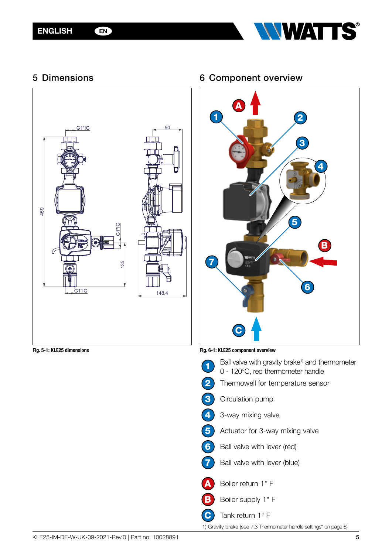

<span id="page-4-0"></span>5 Dimensions



# 6 Component overview



<span id="page-4-1"></span>Fig. 6-1: KLE25 component overview

|   | Ball valve with gravity brake <sup>1)</sup> and thermometer<br>0 - 120°C, red thermometer handle |
|---|--------------------------------------------------------------------------------------------------|
|   | Thermowell for temperature sensor                                                                |
|   | Circulation pump                                                                                 |
| ♦ | 3-way mixing valve                                                                               |
|   | Actuator for 3-way mixing valve                                                                  |
|   | Ball valve with lever (red)                                                                      |
|   | Ball valve with lever (blue)                                                                     |
|   | Boiler return 1" F                                                                               |
|   | Boiler supply 1" F                                                                               |
|   | Tank return 1" F                                                                                 |

1) Gravity brake (see [7.3 Thermometer handle settings" on page 6](#page-5-1))

Fig. 5-1: KLE25 dimensions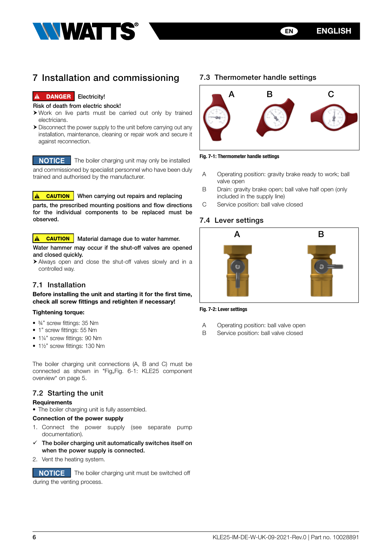

<span id="page-5-0"></span>

# 7 Installation and commissioning

## **!** DANGER Electricity!

#### Risk of death from electric shock!

- $\triangleright$  Work on live parts must be carried out only by trained electricians.
- $\triangleright$  Disconnect the power supply to the unit before carrying out any installation, maintenance, cleaning or repair work and secure it against reconnection.

**NOTICE** The boiler charging unit may only be installed and commissioned by specialist personnel who have been duly trained and authorised by the manufacturer.

**A CAUTION** When carrying out repairs and replacing

parts, the prescribed mounting positions and flow directions for the individual components to be replaced must be observed.

#### **A CAUTION** Material damage due to water hammer.

Water hammer may occur if the shut-off valves are opened and closed quickly.

h Always open and close the shut-off valves slowly and in a controlled way.

# 7.1 Installation

Before installing the unit and starting it for the first time, check all screw fittings and retighten if necessary!

#### Tightening torque:

- ¾" screw fittings: 35 Nm
- 1" screw fittings: 55 Nm
- 11/4" screw fittings: 90 Nm
- 1½" screw fittings: 130 Nm

# <span id="page-5-1"></span>7.3 Thermometer handle settings



Fig. 7-1: Thermometer handle settings

- A Operating position: gravity brake ready to work; ball valve open
- B Drain: gravity brake open; ball valve half open (only included in the supply line)
- C Service position: ball valve closed

# 7.4 Lever settings



#### Fig. 7-2: Lever settings

- A Operating position: ball valve open
- B Service position: ball valve closed

The boiler charging unit connections (A, B and C) must be connected as shown in "Fig, Fig. 6-1: KLE25 component [overview" on page 5](#page-4-1).

# 7.2 Starting the unit

## **Requirements**

• The boiler charging unit is fully assembled.

#### Connection of the power supply

- 1. Connect the power supply (see separate pump documentation).
- The boiler charging unit automatically switches itself on when the power supply is connected.
- 2. Vent the heating system.

**NOTICE** The boiler charging unit must be switched off during the venting process.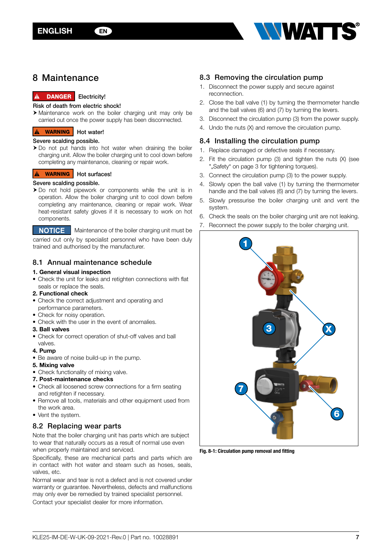

# <span id="page-6-0"></span>8 Maintenance

## **A** DANGER Electricity!

#### Risk of death from electric shock!

 $\triangleright$  Maintenance work on the boiler charging unit may only be carried out once the power supply has been disconnected.

# **A WARNING** Hot water!

#### Severe scalding possible.

 $\triangleright$  Do not put hands into hot water when draining the boiler charging unit. Allow the boiler charging unit to cool down before completing any maintenance, cleaning or repair work.

#### **A** WARNING Hot surfaces!

#### Severe scalding possible.

 $\triangleright$  Do not hold pipework or components while the unit is in operation. Allow the boiler charging unit to cool down before completing any maintenance, cleaning or repair work. Wear heat-resistant safety gloves if it is necessary to work on hot components.

**NOTICE** Maintenance of the boiler charging unit must be

carried out only by specialist personnel who have been duly trained and authorised by the manufacturer.

# 8.1 Annual maintenance schedule

#### 1. General visual inspection

• Check the unit for leaks and retighten connections with flat seals or replace the seals.

#### 2. Functional check

- Check the correct adjustment and operating and performance parameters.
- Check for noisy operation.
- Check with the user in the event of anomalies.

## 3. Ball valves

• Check for correct operation of shut-off valves and ball valves.

#### 4. Pump

- Be aware of noise build-up in the pump.
- 5. Mixing valve
- Check functionality of mixing valve.
- 7. Post-maintenance checks
- Check all loosened screw connections for a firm seating and retighten if necessary.
- Remove all tools, materials and other equipment used from the work area.
- Vent the system.

## 8.2 Replacing wear parts

Note that the boiler charging unit has parts which are subject to wear that naturally occurs as a result of normal use even when properly maintained and serviced.

Specifically, these are mechanical parts and parts which are in contact with hot water and steam such as hoses, seals, valves, etc.

Normal wear and tear is not a defect and is not covered under warranty or guarantee. Nevertheless, defects and malfunctions may only ever be remedied by trained specialist personnel. Contact your specialist dealer for more information.

# 8.3 Removing the circulation pump

- 1. Disconnect the power supply and secure against reconnection.
- 2. Close the ball valve (1) by turning the thermometer handle and the ball valves (6) and (7) by turning the levers.
- 3. Disconnect the circulation pump (3) from the power supply.
- 4. Undo the nuts (X) and remove the circulation pump.

# 8.4 Installing the circulation pump

- 1. Replace damaged or defective seals if necessary.
- 2. Fit the circulation pump (3) and tighten the nuts (X) (see "..Safety" on page 3 for tightening torques).
- 3. Connect the circulation pump (3) to the power supply.
- 4. Slowly open the ball valve (1) by turning the thermometer handle and the ball valves (6) and (7) by turning the levers.
- 5. Slowly pressurise the boiler charging unit and vent the system.
- 6. Check the seals on the boiler charging unit are not leaking.
- 7. Reconnect the power supply to the boiler charging unit.



Fig. 8-1: Circulation pump removal and fitting